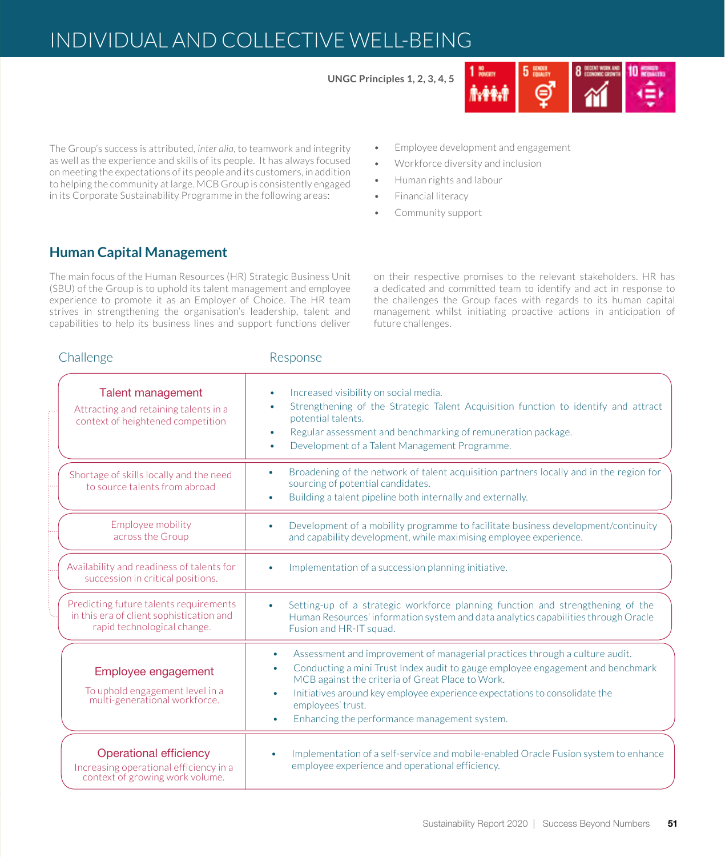# INDIVIDUAL AND COLLECTIVE WELL-BEING

**UNGC Principles 1, 2, 3, 4, 5**



The Group's success is attributed, *inter alia,* to teamwork and integrity as well as the experience and skills of its people. It has always focused on meeting the expectations of its people and its customers, in addition to helping the community at large. MCB Group is consistently engaged in its Corporate Sustainability Programme in the following areas:

- Employee development and engagement
- Workforce diversity and inclusion
- Human rights and labour
- Financial literacy
- Community support

#### **Human Capital Management**

The main focus of the Human Resources (HR) Strategic Business Unit (SBU) of the Group is to uphold its talent management and employee experience to promote it as an Employer of Choice. The HR team strives in strengthening the organisation's leadership, talent and capabilities to help its business lines and support functions deliver

on their respective promises to the relevant stakeholders. HR has a dedicated and committed team to identify and act in response to the challenges the Group faces with regards to its human capital management whilst initiating proactive actions in anticipation of future challenges.

| Challenge                                                                                                         | Response                                                                                                                                                                                                                                                                                                                                                                                            |  |  |
|-------------------------------------------------------------------------------------------------------------------|-----------------------------------------------------------------------------------------------------------------------------------------------------------------------------------------------------------------------------------------------------------------------------------------------------------------------------------------------------------------------------------------------------|--|--|
| <b>Talent management</b><br>Attracting and retaining talents in a<br>context of heightened competition            | Increased visibility on social media.<br>$\bullet$<br>Strengthening of the Strategic Talent Acquisition function to identify and attract<br>٠<br>potential talents.<br>Regular assessment and benchmarking of remuneration package.<br>$\bullet$<br>Development of a Talent Management Programme.<br>٠                                                                                              |  |  |
| Shortage of skills locally and the need<br>to source talents from abroad                                          | Broadening of the network of talent acquisition partners locally and in the region for<br>$\bullet$<br>sourcing of potential candidates.<br>Building a talent pipeline both internally and externally.<br>$\bullet$                                                                                                                                                                                 |  |  |
| Employee mobility<br>across the Group                                                                             | Development of a mobility programme to facilitate business development/continuity<br>$\bullet$<br>and capability development, while maximising employee experience.                                                                                                                                                                                                                                 |  |  |
| Availability and readiness of talents for<br>succession in critical positions.                                    | Implementation of a succession planning initiative.<br>$\bullet$                                                                                                                                                                                                                                                                                                                                    |  |  |
| Predicting future talents requirements<br>in this era of client sophistication and<br>rapid technological change. | Setting-up of a strategic workforce planning function and strengthening of the<br>$\bullet$<br>Human Resources' information system and data analytics capabilities through Oracle<br>Fusion and HR-IT squad.                                                                                                                                                                                        |  |  |
| Employee engagement<br>To uphold engagement level in a<br>multi-generational workforce.                           | Assessment and improvement of managerial practices through a culture audit.<br>$\bullet$<br>Conducting a mini Trust Index audit to gauge employee engagement and benchmark<br>۰<br>MCB against the criteria of Great Place to Work.<br>Initiatives around key employee experience expectations to consolidate the<br>employees' trust.<br>Enhancing the performance management system.<br>$\bullet$ |  |  |
| <b>Operational efficiency</b><br>Increasing operational efficiency in a<br>context of growing work volume.        | Implementation of a self-service and mobile-enabled Oracle Fusion system to enhance<br>$\bullet$<br>employee experience and operational efficiency.                                                                                                                                                                                                                                                 |  |  |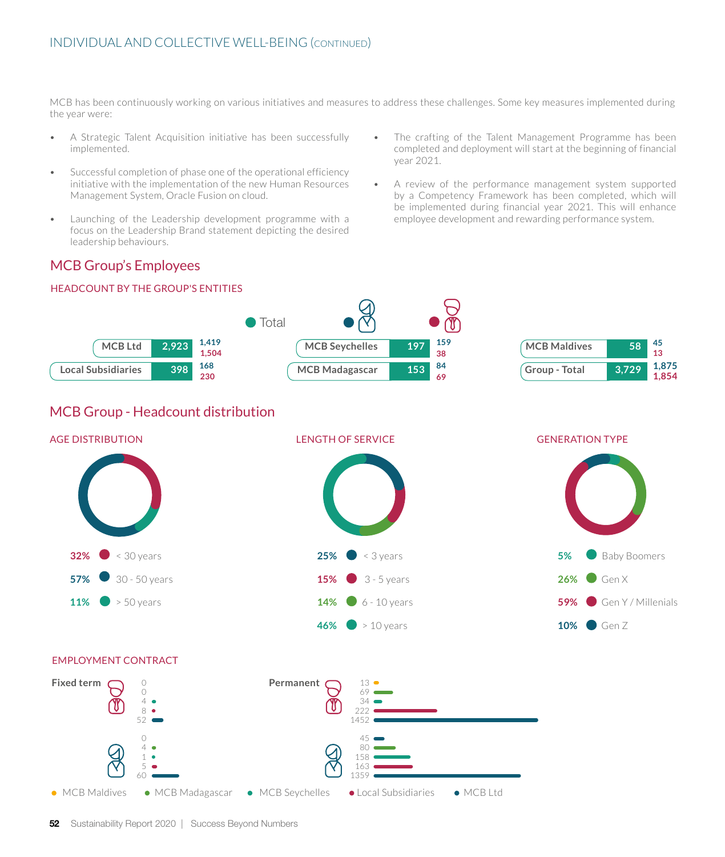MCB has been continuously working on various initiatives and measures to address these challenges. Some key measures implemented during the year were:

- A Strategic Talent Acquisition initiative has been successfully implemented.
- Successful completion of phase one of the operational efficiency initiative with the implementation of the new Human Resources Management System, Oracle Fusion on cloud.
- Launching of the Leadership development programme with a focus on the Leadership Brand statement depicting the desired leadership behaviours.
- The crafting of the Talent Management Programme has been completed and deployment will start at the beginning of financial year 2021.
- A review of the performance management system supported by a Competency Framework has been completed, which will be implemented during financial year 2021. This will enhance employee development and rewarding performance system.

### MCB Group's Employees

#### **13 1,854 159 84 45 1,875 1,419 168 Total MCB Ltd Local Subsidiaries** HEADCOUNT BY THE GROUP'S ENTITIES **2,923 398 1,504 230 MCB Seychelles MCB Madagascar MCB Maldives Group - Total 197 153 58 3,729 38 69**

### MCB Group - Headcount distribution

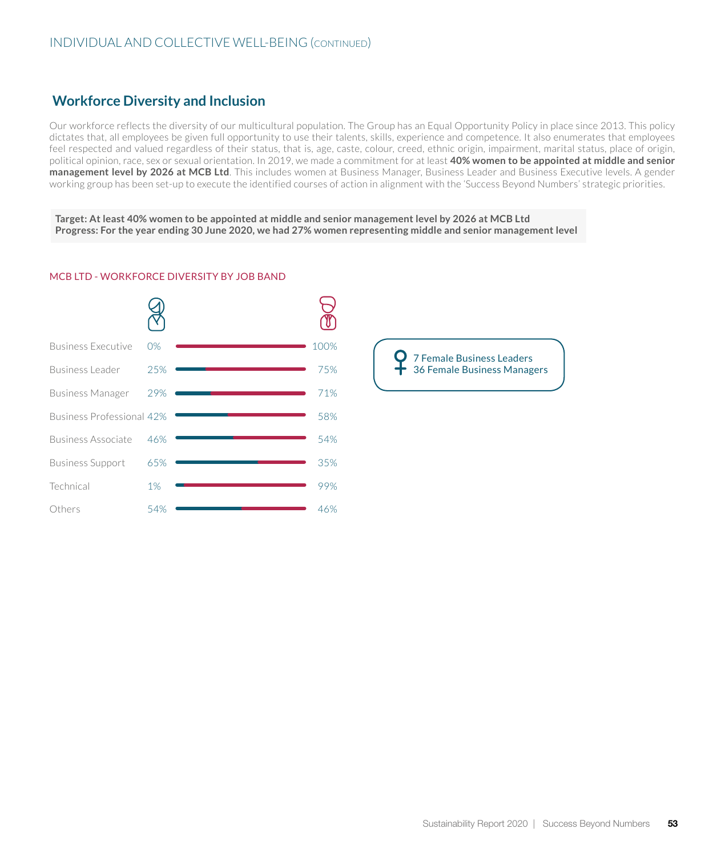### **Workforce Diversity and Inclusion**

Our workforce reflects the diversity of our multicultural population. The Group has an Equal Opportunity Policy in place since 2013. This policy dictates that, all employees be given full opportunity to use their talents, skills, experience and competence. It also enumerates that employees feel respected and valued regardless of their status, that is, age, caste, colour, creed, ethnic origin, impairment, marital status, place of origin, political opinion, race, sex or sexual orientation. In 2019, we made a commitment for at least **40% women to be appointed at middle and senior management level by 2026 at MCB Ltd**. This includes women at Business Manager, Business Leader and Business Executive levels. A gender working group has been set-up to execute the identified courses of action in alignment with the 'Success Beyond Numbers' strategic priorities.

 **Target: At least 40% women to be appointed at middle and senior management level by 2026 at MCB Ltd Progress: For the year ending 30 June 2020, we had 27% women representing middle and senior management level**

#### MCB LTD - WORKFORCE DIVERSITY BY JOB BAND



7 Female Business Leaders 36 Female Business Managers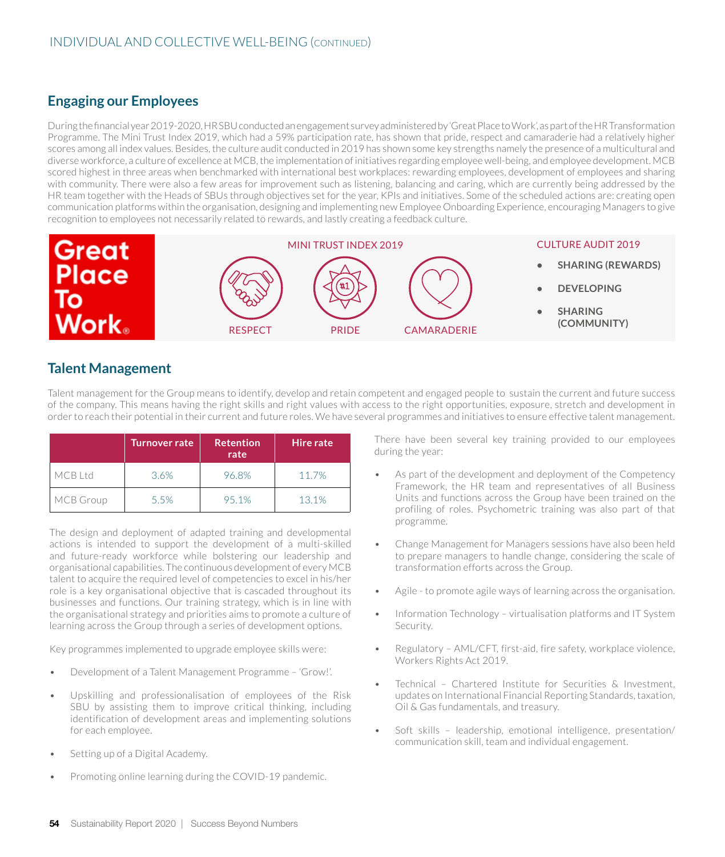## **Engaging our Employees**

During the financial year 2019-2020, HR SBU conducted an engagement survey administered by 'Great Place to Work', as part of the HR Transformation Programme. The Mini Trust Index 2019, which had a 59% participation rate, has shown that pride, respect and camaraderie had a relatively higher scores among all index values. Besides, the culture audit conducted in 2019 has shown some key strengths namely the presence of a multicultural and diverse workforce, a culture of excellence at MCB, the implementation of initiatives regarding employee well-being, and employee development. MCB scored highest in three areas when benchmarked with international best workplaces: rewarding employees, development of employees and sharing with community. There were also a few areas for improvement such as listening, balancing and caring, which are currently being addressed by the HR team together with the Heads of SBUs through objectives set for the year, KPIs and initiatives. Some of the scheduled actions are: creating open communication platforms within the organisation, designing and implementing new Employee Onboarding Experience, encouraging Managers to give recognition to employees not necessarily related to rewards, and lastly creating a feedback culture.



## **Talent Management**

Talent management for the Group means to identify, develop and retain competent and engaged people to sustain the current and future success of the company. This means having the right skills and right values with access to the right opportunities, exposure, stretch and development in order to reach their potential in their current and future roles. We have several programmes and initiatives to ensure effective talent management.

|                  | Turnover rate | <b>Retention</b><br>rate | <b>Hire rate</b> |
|------------------|---------------|--------------------------|------------------|
| MCB Ltd          | 3.6%          | 96.8%                    | 11.7%            |
| <b>MCB</b> Group | 5.5%          | 95.1%                    | 13.1%            |

The design and deployment of adapted training and developmental actions is intended to support the development of a multi-skilled and future-ready workforce while bolstering our leadership and organisational capabilities. The continuous development of every MCB talent to acquire the required level of competencies to excel in his/her role is a key organisational objective that is cascaded throughout its businesses and functions. Our training strategy, which is in line with the organisational strategy and priorities aims to promote a culture of learning across the Group through a series of development options.

Key programmes implemented to upgrade employee skills were:

- Development of a Talent Management Programme 'Grow!'.
- Upskilling and professionalisation of employees of the Risk SBU by assisting them to improve critical thinking, including identification of development areas and implementing solutions for each employee.
- Setting up of a Digital Academy.
- Promoting online learning during the COVID-19 pandemic.

There have been several key training provided to our employees during the year:

- As part of the development and deployment of the Competency Framework, the HR team and representatives of all Business Units and functions across the Group have been trained on the profiling of roles. Psychometric training was also part of that programme.
- Change Management for Managers sessions have also been held to prepare managers to handle change, considering the scale of transformation efforts across the Group.
- Agile to promote agile ways of learning across the organisation.
- Information Technology virtualisation platforms and IT System Security.
- Regulatory AML/CFT, first-aid, fire safety, workplace violence, Workers Rights Act 2019.
- Technical Chartered Institute for Securities & Investment, updates on International Financial Reporting Standards, taxation, Oil & Gas fundamentals, and treasury.
- Soft skills leadership, emotional intelligence, presentation/ communication skill, team and individual engagement.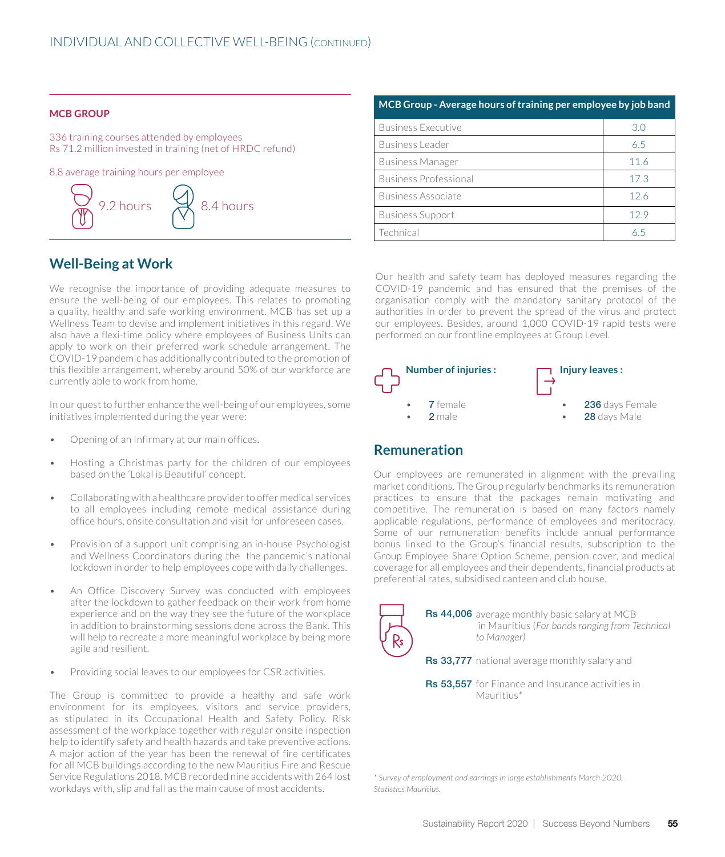#### **MCB GROUP**

336 training courses attended by employees Rs 71.2 million invested in training (net of HRDC refund)

8.8 average training hours per employee



| MCB Group - Average hours of training per employee by job band |      |  |  |
|----------------------------------------------------------------|------|--|--|
| <b>Business Executive</b>                                      | 3.0  |  |  |
| <b>Business Leader</b>                                         | 6.5  |  |  |
| <b>Business Manager</b>                                        | 11.6 |  |  |
| Business Professional                                          | 17.3 |  |  |
| Business Associate                                             | 12.6 |  |  |
| <b>Business Support</b>                                        | 12.9 |  |  |
| Technical                                                      | 65   |  |  |

### **Well-Being at Work**

We recognise the importance of providing adequate measures to ensure the well-being of our employees. This relates to promoting a quality, healthy and safe working environment. MCB has set up a Wellness Team to devise and implement initiatives in this regard. We also have a flexi-time policy where employees of Business Units can apply to work on their preferred work schedule arrangement. The COVID-19 pandemic has additionally contributed to the promotion of this flexible arrangement, whereby around 50% of our workforce are currently able to work from home.

In our quest to further enhance the well-being of our employees, some initiatives implemented during the year were:

- Opening of an Infirmary at our main offices.
- Hosting a Christmas party for the children of our employees based on the 'Lokal is Beautiful' concept.
- Collaborating with a healthcare provider to offer medical services to all employees including remote medical assistance during office hours, onsite consultation and visit for unforeseen cases.
- Provision of a support unit comprising an in-house Psychologist and Wellness Coordinators during the the pandemic's national lockdown in order to help employees cope with daily challenges.
- An Office Discovery Survey was conducted with employees after the lockdown to gather feedback on their work from home experience and on the way they see the future of the workplace in addition to brainstorming sessions done across the Bank. This will help to recreate a more meaningful workplace by being more agile and resilient.
- Providing social leaves to our employees for CSR activities.

The Group is committed to provide a healthy and safe work environment for its employees, visitors and service providers, as stipulated in its Occupational Health and Safety Policy. Risk assessment of the workplace together with regular onsite inspection help to identify safety and health hazards and take preventive actions. A major action of the year has been the renewal of fire certificates for all MCB buildings according to the new Mauritius Fire and Rescue Service Regulations 2018. MCB recorded nine accidents with 264 lost workdays with, slip and fall as the main cause of most accidents.

Our health and safety team has deployed measures regarding the COVID-19 pandemic and has ensured that the premises of the organisation comply with the mandatory sanitary protocol of the authorities in order to prevent the spread of the virus and protect our employees. Besides, around 1,000 COVID-19 rapid tests were performed on our frontline employees at Group Level.



#### **Remuneration**

Our employees are remunerated in alignment with the prevailing market conditions. The Group regularly benchmarks its remuneration practices to ensure that the packages remain motivating and competitive. The remuneration is based on many factors namely applicable regulations, performance of employees and meritocracy. Some of our remuneration benefits include annual performance bonus linked to the Group's financial results, subscription to the Group Employee Share Option Scheme, pension cover, and medical coverage for all employees and their dependents, financial products at preferential rates, subsidised canteen and club house.



in Mauritius (*For bands ranging from Technical* 

Rs 33,777 national average monthly salary and

Rs 53,557 for Finance and Insurance activities in Mauritius\*

*\* Survey of employment and earnings in large establishments March 2020, Statistics Mauritius.*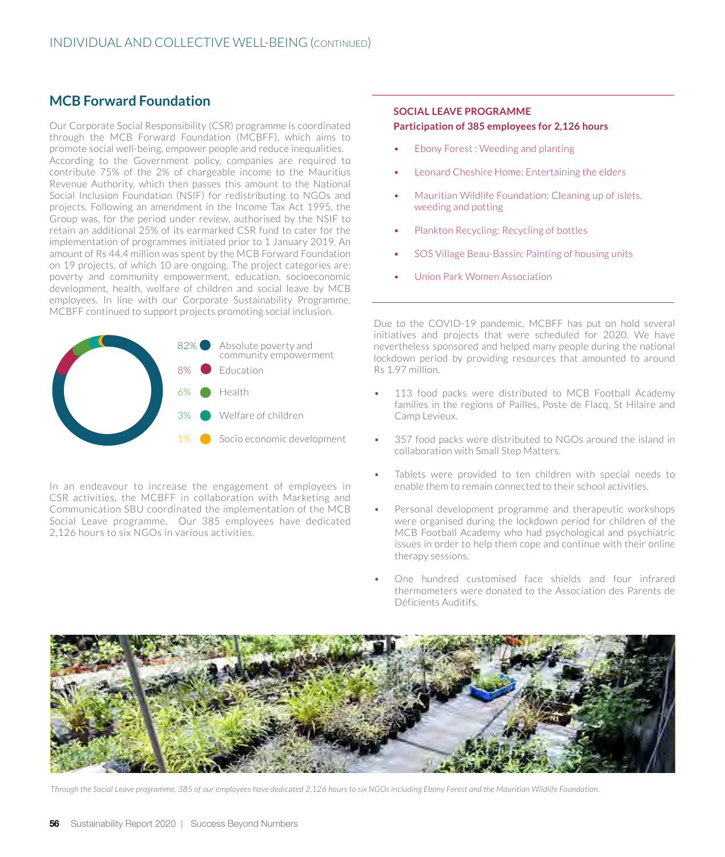### **MCB Forward Foundation**

Our Corporate Social Responsibility (CSR) programme is coordinated through the MCB Forward Foundation (MCBFF), which aims to promote social well-being, empower people and reduce inequalities. According to the Government policy, companies are required to contribute 75% of the 2% of chargeable income to the Mauritius Revenue Authority, which then passes this amount to the National Social Inclusion Foundation (NSIF) for redistributing to NGOs and projects. Following an amendment in the Income Tax Act 1995, the Group was, for the period under review, authorised by the NSIF to retain an additional 25% of its earmarked CSR fund to cater for the implementation of programmes initiated prior to 1 January 2019. An amount of Rs 44.4 million was spent by the MCB Forward Foundation on 19 projects, of which 10 are ongoing. The project categories are: poverty and community empowerment, education, socioeconomic development, health, welfare of children and social leave by MCB employees. In line with our Corporate Sustainability Programme, MCBFF continued to support projects promoting social inclusion.



In an endeavour to increase the engagement of employees in CSR activities, the MCBFF in collaboration with Marketing and Communication SBU coordinated the implementation of the MCB Social Leave programme. Our 385 employees have dedicated 2,126 hours to six NGOs in various activities.

#### **SOCIAL LEAVE PROGRAMME**

#### **Participation of 385 employees for 2,126 hours**

- Ebony Forest : Weeding and planting
- Leonard Cheshire Home: Entertaining the elders
- Mauritian Wildlife Foundation: Cleaning up of islets, weeding and potting
- Plankton Recycling: Recycling of bottles
- SOS Village Beau-Bassin: Painting of housing units
- Union Park Women Association

Due to the COVID-19 pandemic, MCBFF has put on hold several initiatives and projects that were scheduled for 2020. We have nevertheless sponsored and helped many people during the national lockdown period by providing resources that amounted to around Rs 1.97 million.

- 113 food packs were distributed to MCB Football Academy families in the regions of Pailles, Poste de Flacq, St Hilaire and Camp Levieux.
- 357 food packs were distributed to NGOs around the island in collaboration with Small Step Matters.
- Tablets were provided to ten children with special needs to enable them to remain connected to their school activities.
- Personal development programme and therapeutic workshops were organised during the lockdown period for children of the MCB Football Academy who had psychological and psychiatric issues in order to help them cope and continue with their online therapy sessions.
- One hundred customised face shields and four infrared thermometers were donated to the Association des Parents de Déficients Auditifs.



*Through the Social Leave programme, 385 of our employees have dedicated 2,126 hours to six NGOs including Ebony Forest and the Mauritian Wildlife Foundation.*